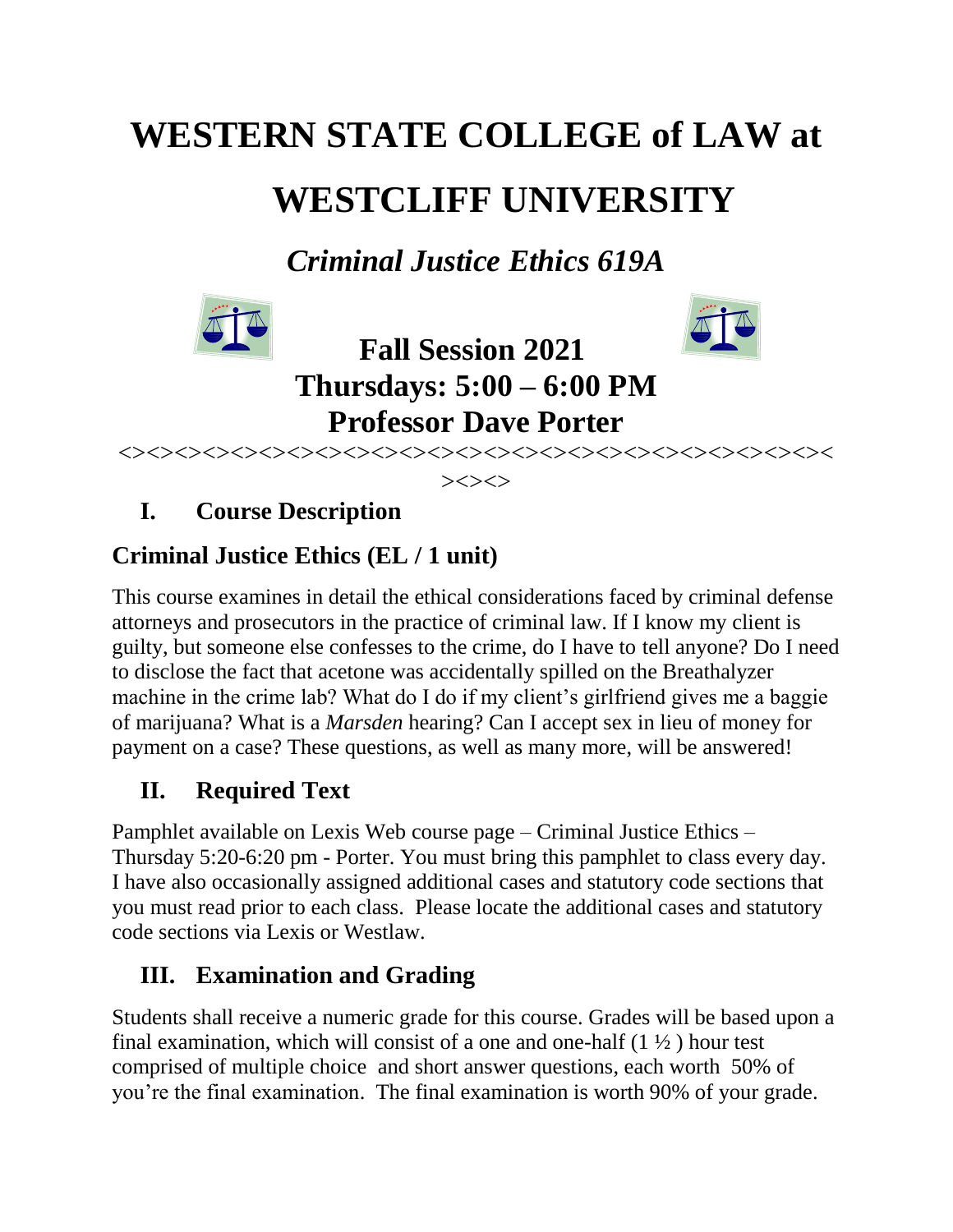# **WESTERN STATE COLLEGE of LAW at WESTCLIFF UNIVERSITY**

*Criminal Justice Ethics 619A*





**Fall Session 2021 Thursdays: 5:00 – 6:00 PM Professor Dave Porter**

<><><><><><><><><><><><><><><><><><><><><><><><><><  $>\!\!>\!\!>>\!\!>>$ 

**I. Course Description**

# **Criminal Justice Ethics (EL / 1 unit)**

This course examines in detail the ethical considerations faced by criminal defense attorneys and prosecutors in the practice of criminal law. If I know my client is guilty, but someone else confesses to the crime, do I have to tell anyone? Do I need to disclose the fact that acetone was accidentally spilled on the Breathalyzer machine in the crime lab? What do I do if my client's girlfriend gives me a baggie of marijuana? What is a *Marsden* hearing? Can I accept sex in lieu of money for payment on a case? These questions, as well as many more, will be answered!

# **II. Required Text**

Pamphlet available on Lexis Web course page – Criminal Justice Ethics – Thursday 5:20-6:20 pm - Porter. You must bring this pamphlet to class every day. I have also occasionally assigned additional cases and statutory code sections that you must read prior to each class. Please locate the additional cases and statutory code sections via Lexis or Westlaw.

# **III. Examination and Grading**

Students shall receive a numeric grade for this course. Grades will be based upon a final examination, which will consist of a one and one-half  $(1 \frac{1}{2})$  hour test comprised of multiple choice and short answer questions, each worth 50% of you're the final examination. The final examination is worth 90% of your grade.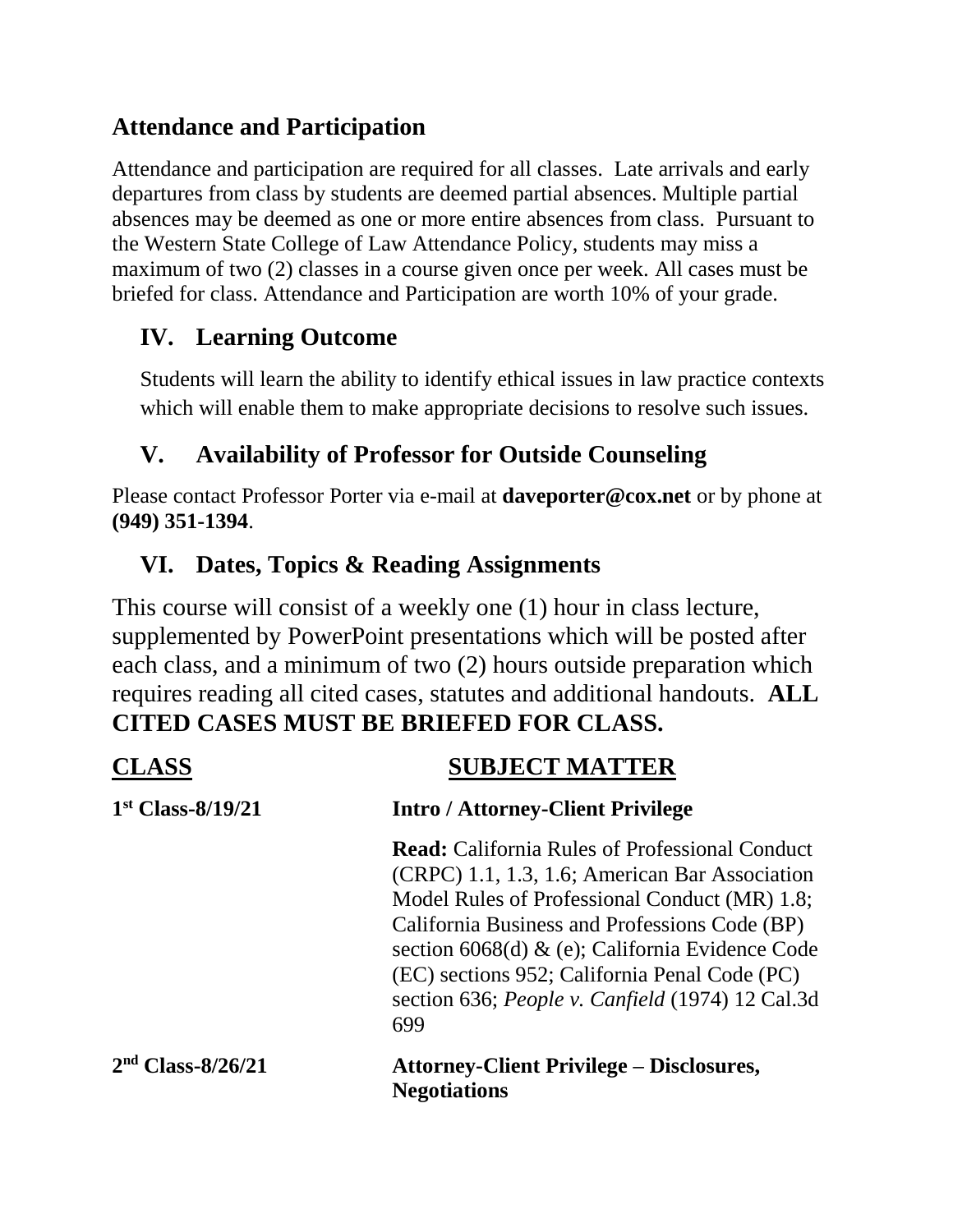# **Attendance and Participation**

Attendance and participation are required for all classes. Late arrivals and early departures from class by students are deemed partial absences. Multiple partial absences may be deemed as one or more entire absences from class. Pursuant to the Western State College of Law Attendance Policy, students may miss a maximum of two (2) classes in a course given once per week. All cases must be briefed for class. Attendance and Participation are worth 10% of your grade.

# **IV. Learning Outcome**

Students will learn the ability to identify ethical issues in law practice contexts which will enable them to make appropriate decisions to resolve such issues.

# **V. Availability of Professor for Outside Counseling**

Please contact Professor Porter via e-mail at **daveporter@cox.net** or by phone at **(949) 351-1394**.

## **VI. Dates, Topics & Reading Assignments**

This course will consist of a weekly one (1) hour in class lecture, supplemented by PowerPoint presentations which will be posted after each class, and a minimum of two (2) hours outside preparation which requires reading all cited cases, statutes and additional handouts. **ALL CITED CASES MUST BE BRIEFED FOR CLASS.**

|                     | <b>SUBJECT MATTER</b>                                                                                                                                                                                                                                                                                                                                                              |
|---------------------|------------------------------------------------------------------------------------------------------------------------------------------------------------------------------------------------------------------------------------------------------------------------------------------------------------------------------------------------------------------------------------|
| $1st Class-8/19/21$ | <b>Intro / Attorney-Client Privilege</b>                                                                                                                                                                                                                                                                                                                                           |
|                     | <b>Read:</b> California Rules of Professional Conduct<br>(CRPC) 1.1, 1.3, 1.6; American Bar Association<br>Model Rules of Professional Conduct (MR) 1.8;<br>California Business and Professions Code (BP)<br>section 6068(d) $\&$ (e); California Evidence Code<br>(EC) sections 952; California Penal Code (PC)<br>section 636; <i>People v. Canfield</i> (1974) 12 Cal.3d<br>699 |
| $2nd Class-8/26/21$ | <b>Attorney-Client Privilege – Disclosures,</b><br><b>Negotiations</b>                                                                                                                                                                                                                                                                                                             |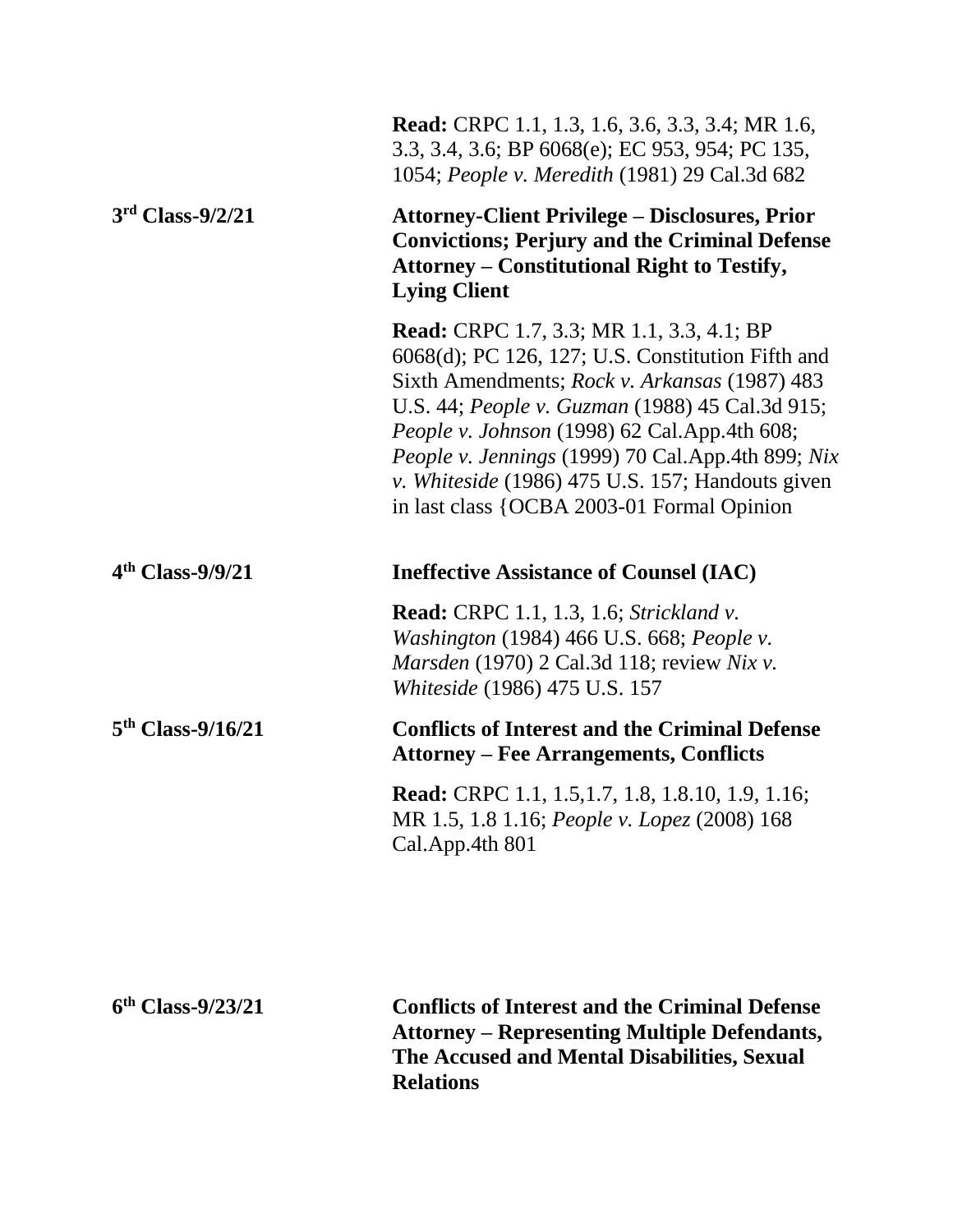|                     | <b>Read:</b> CRPC 1.1, 1.3, 1.6, 3.6, 3.3, 3.4; MR 1.6,<br>3.3, 3.4, 3.6; BP 6068(e); EC 953, 954; PC 135,<br>1054; People v. Meredith (1981) 29 Cal.3d 682                                                                                                                                                                                                                                                         |
|---------------------|---------------------------------------------------------------------------------------------------------------------------------------------------------------------------------------------------------------------------------------------------------------------------------------------------------------------------------------------------------------------------------------------------------------------|
| $3rd$ Class-9/2/21  | <b>Attorney-Client Privilege – Disclosures, Prior</b><br><b>Convictions; Perjury and the Criminal Defense</b><br><b>Attorney - Constitutional Right to Testify,</b><br><b>Lying Client</b>                                                                                                                                                                                                                          |
|                     | <b>Read:</b> CRPC 1.7, 3.3; MR 1.1, 3.3, 4.1; BP<br>$6068(d)$ ; PC 126, 127; U.S. Constitution Fifth and<br>Sixth Amendments; Rock v. Arkansas (1987) 483<br>U.S. 44; People v. Guzman (1988) 45 Cal.3d 915;<br>People v. Johnson (1998) 62 Cal.App.4th 608;<br>People v. Jennings (1999) 70 Cal.App.4th 899; Nix<br>v. Whiteside (1986) 475 U.S. 157; Handouts given<br>in last class {OCBA 2003-01 Formal Opinion |
| $4th Class-9/9/21$  | <b>Ineffective Assistance of Counsel (IAC)</b>                                                                                                                                                                                                                                                                                                                                                                      |
|                     | Read: CRPC 1.1, 1.3, 1.6; Strickland v.<br><i>Washington</i> (1984) 466 U.S. 668; <i>People v.</i><br>Marsden (1970) 2 Cal.3d 118; review Nix v.<br>Whiteside (1986) 475 U.S. 157                                                                                                                                                                                                                                   |
| $5th Class-9/16/21$ | <b>Conflicts of Interest and the Criminal Defense</b><br><b>Attorney – Fee Arrangements, Conflicts</b>                                                                                                                                                                                                                                                                                                              |
|                     | <b>Read:</b> CRPC 1.1, 1.5, 1.7, 1.8, 1.8. 10, 1.9, 1.16;<br>MR 1.5, 1.8 1.16; People v. Lopez (2008) 168<br>Cal.App.4th 801                                                                                                                                                                                                                                                                                        |
|                     |                                                                                                                                                                                                                                                                                                                                                                                                                     |
| $6th Class-9/23/21$ | <b>Conflicts of Interest and the Criminal Defense</b><br>Attorney - Representing Multiple Defendants                                                                                                                                                                                                                                                                                                                |

**Attorney – Representing Multiple Defendants, The Accused and Mental Disabilities, Sexual Relations**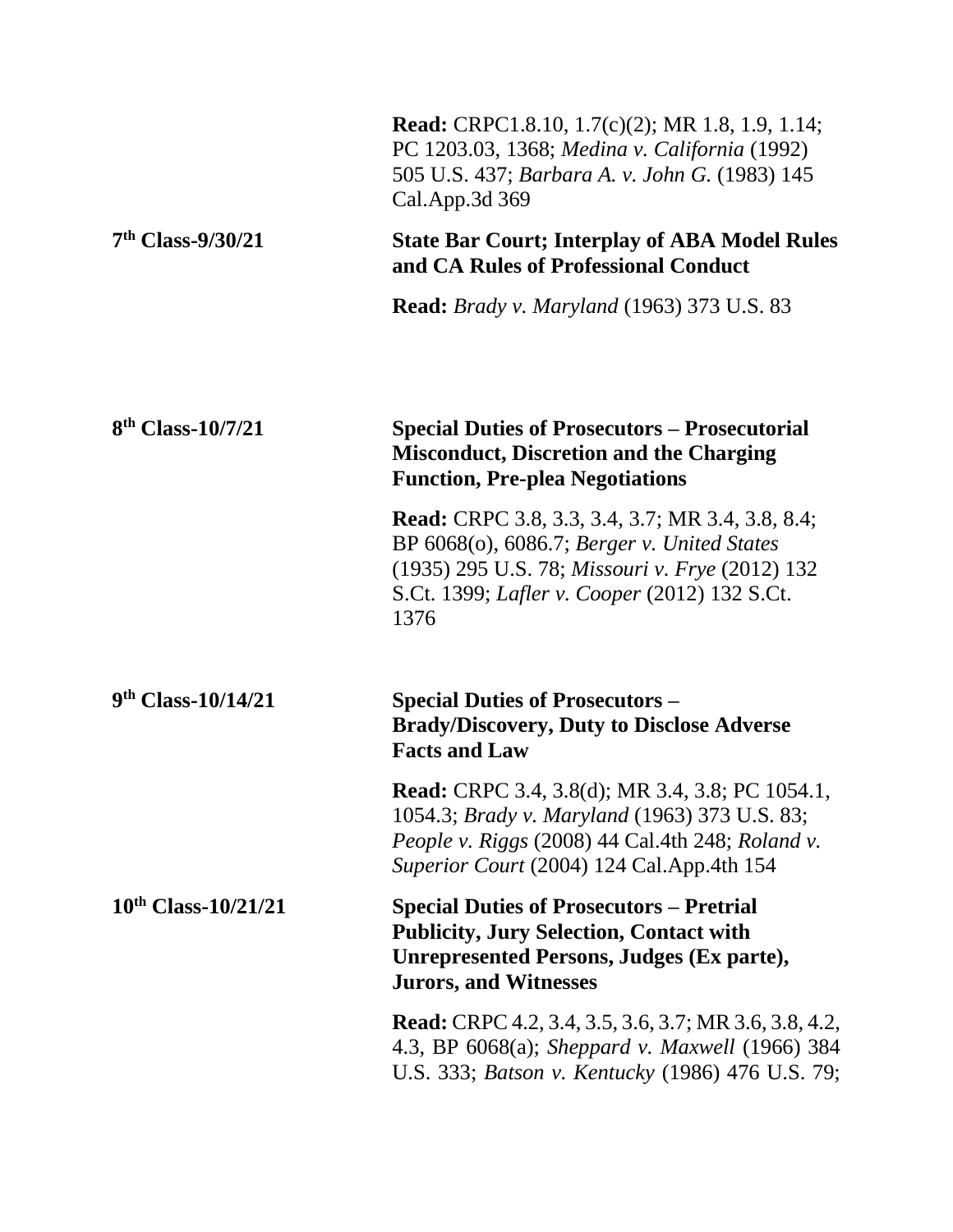|                               | <b>Read:</b> CRPC1.8.10, 1.7(c)(2); MR 1.8, 1.9, 1.14;<br>PC 1203.03, 1368; Medina v. California (1992)<br>505 U.S. 437; Barbara A. v. John G. (1983) 145<br>Cal.App.3d 369                                               |
|-------------------------------|---------------------------------------------------------------------------------------------------------------------------------------------------------------------------------------------------------------------------|
| $7th Class-9/30/21$           | <b>State Bar Court; Interplay of ABA Model Rules</b><br>and CA Rules of Professional Conduct                                                                                                                              |
|                               | <b>Read:</b> Brady v. Maryland (1963) 373 U.S. 83                                                                                                                                                                         |
| 8 <sup>th</sup> Class-10/7/21 | <b>Special Duties of Prosecutors – Prosecutorial</b><br><b>Misconduct, Discretion and the Charging</b><br><b>Function, Pre-plea Negotiations</b>                                                                          |
|                               | <b>Read:</b> CRPC 3.8, 3.3, 3.4, 3.7; MR 3.4, 3.8, 8.4;<br>BP 6068(o), 6086.7; Berger v. United States<br>(1935) 295 U.S. 78; Missouri v. Frye (2012) 132<br>S.Ct. 1399; <i>Lafler v. Cooper</i> (2012) 132 S.Ct.<br>1376 |
| $9th Class-10/14/21$          | <b>Special Duties of Prosecutors –</b><br><b>Brady/Discovery, Duty to Disclose Adverse</b><br><b>Facts and Law</b>                                                                                                        |
|                               | <b>Read:</b> CRPC 3.4, 3.8(d); MR 3.4, 3.8; PC 1054.1,<br>1054.3; Brady v. Maryland (1963) 373 U.S. 83;<br>People v. Riggs (2008) 44 Cal.4th 248; Roland v.<br>Superior Court (2004) 124 Cal. App. 4th 154                |
| $10^{th}$ Class- $10/21/21$   | <b>Special Duties of Prosecutors – Pretrial</b><br><b>Publicity, Jury Selection, Contact with</b><br><b>Unrepresented Persons, Judges (Ex parte),</b><br><b>Jurors, and Witnesses</b>                                     |
|                               | <b>Read:</b> CRPC 4.2, 3.4, 3.5, 3.6, 3.7; MR 3.6, 3.8, 4.2,<br>4.3, BP 6068(a); Sheppard v. Maxwell (1966) 384<br>U.S. 333; Batson v. Kentucky (1986) 476 U.S. 79;                                                       |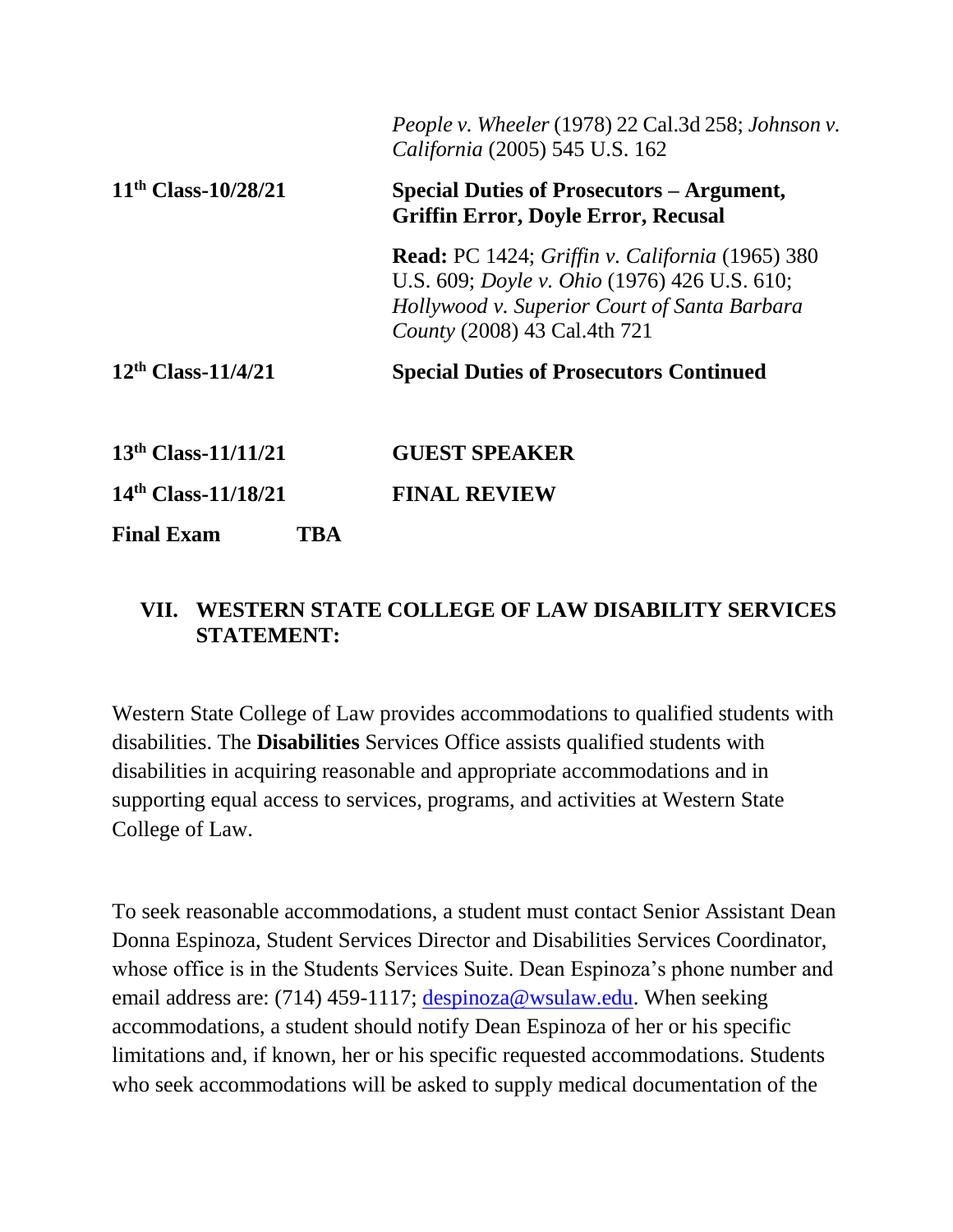|                          | People v. Wheeler (1978) 22 Cal.3d 258; Johnson v.<br>California (2005) 545 U.S. 162                                                                                                          |
|--------------------------|-----------------------------------------------------------------------------------------------------------------------------------------------------------------------------------------------|
| $11th Class-10/28/21$    | <b>Special Duties of Prosecutors – Argument,</b><br><b>Griffin Error, Doyle Error, Recusal</b>                                                                                                |
|                          | <b>Read:</b> PC 1424; Griffin v. California (1965) 380<br>U.S. 609; <i>Doyle v. Ohio</i> (1976) 426 U.S. 610;<br>Hollywood v. Superior Court of Santa Barbara<br>County (2008) 43 Cal.4th 721 |
| $12th$ Class- $11/4/21$  | <b>Special Duties of Prosecutors Continued</b>                                                                                                                                                |
| $13th$ Class- $11/11/21$ | <b>GUEST SPEAKER</b>                                                                                                                                                                          |
| $14th$ Class- $11/18/21$ | <b>FINAL REVIEW</b>                                                                                                                                                                           |
| <b>Final Exam</b><br>TBA |                                                                                                                                                                                               |

### **VII. WESTERN STATE COLLEGE OF LAW DISABILITY SERVICES STATEMENT:**

Western State College of Law provides accommodations to qualified students with disabilities. The **Disabilities** Services Office assists qualified students with disabilities in acquiring reasonable and appropriate accommodations and in supporting equal access to services, programs, and activities at Western State College of Law.

To seek reasonable accommodations, a student must contact Senior Assistant Dean Donna Espinoza, Student Services Director and Disabilities Services Coordinator, whose office is in the Students Services Suite. Dean Espinoza's phone number and email address are: (714) 459-1117; [despinoza@wsulaw.edu.](https://email.edmc.edu/OWA/redir.aspx?C=yQra1LQWr0mUS2kXua3NKtkJJnwxadJIBEddnuOHJAr-f5YyX5Wzvx1cEaAFaHZRMWU1iUiov-4.&URL=mailto%3adespinoza%40wsulaw.edu) When seeking accommodations, a student should notify Dean Espinoza of her or his specific limitations and, if known, her or his specific requested accommodations. Students who seek accommodations will be asked to supply medical documentation of the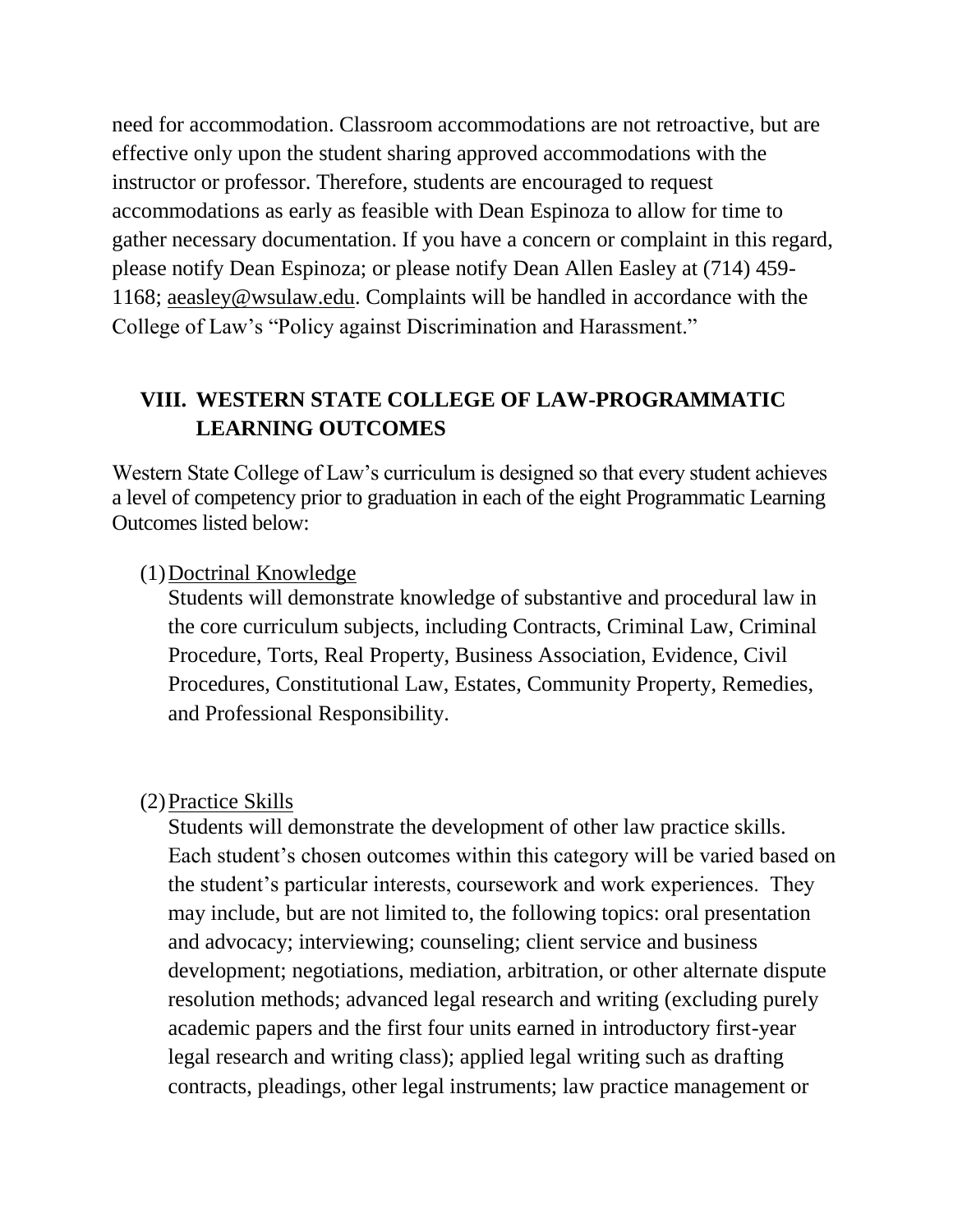need for accommodation. Classroom accommodations are not retroactive, but are effective only upon the student sharing approved accommodations with the instructor or professor. Therefore, students are encouraged to request accommodations as early as feasible with Dean Espinoza to allow for time to gather necessary documentation. If you have a concern or complaint in this regard, please notify Dean Espinoza; or please notify Dean Allen Easley at (714) 459- 1168; aeasley@wsulaw.edu. Complaints will be handled in accordance with the College of Law's "Policy against Discrimination and Harassment."

### **VIII. WESTERN STATE COLLEGE OF LAW-PROGRAMMATIC LEARNING OUTCOMES**

Western State College of Law's curriculum is designed so that every student achieves a level of competency prior to graduation in each of the eight Programmatic Learning Outcomes listed below:

#### (1)Doctrinal Knowledge

Students will demonstrate knowledge of substantive and procedural law in the core curriculum subjects, including Contracts, Criminal Law, Criminal Procedure, Torts, Real Property, Business Association, Evidence, Civil Procedures, Constitutional Law, Estates, Community Property, Remedies, and Professional Responsibility.

#### (2)Practice Skills

Students will demonstrate the development of other law practice skills. Each student's chosen outcomes within this category will be varied based on the student's particular interests, coursework and work experiences. They may include, but are not limited to, the following topics: oral presentation and advocacy; interviewing; counseling; client service and business development; negotiations, mediation, arbitration, or other alternate dispute resolution methods; advanced legal research and writing (excluding purely academic papers and the first four units earned in introductory first-year legal research and writing class); applied legal writing such as drafting contracts, pleadings, other legal instruments; law practice management or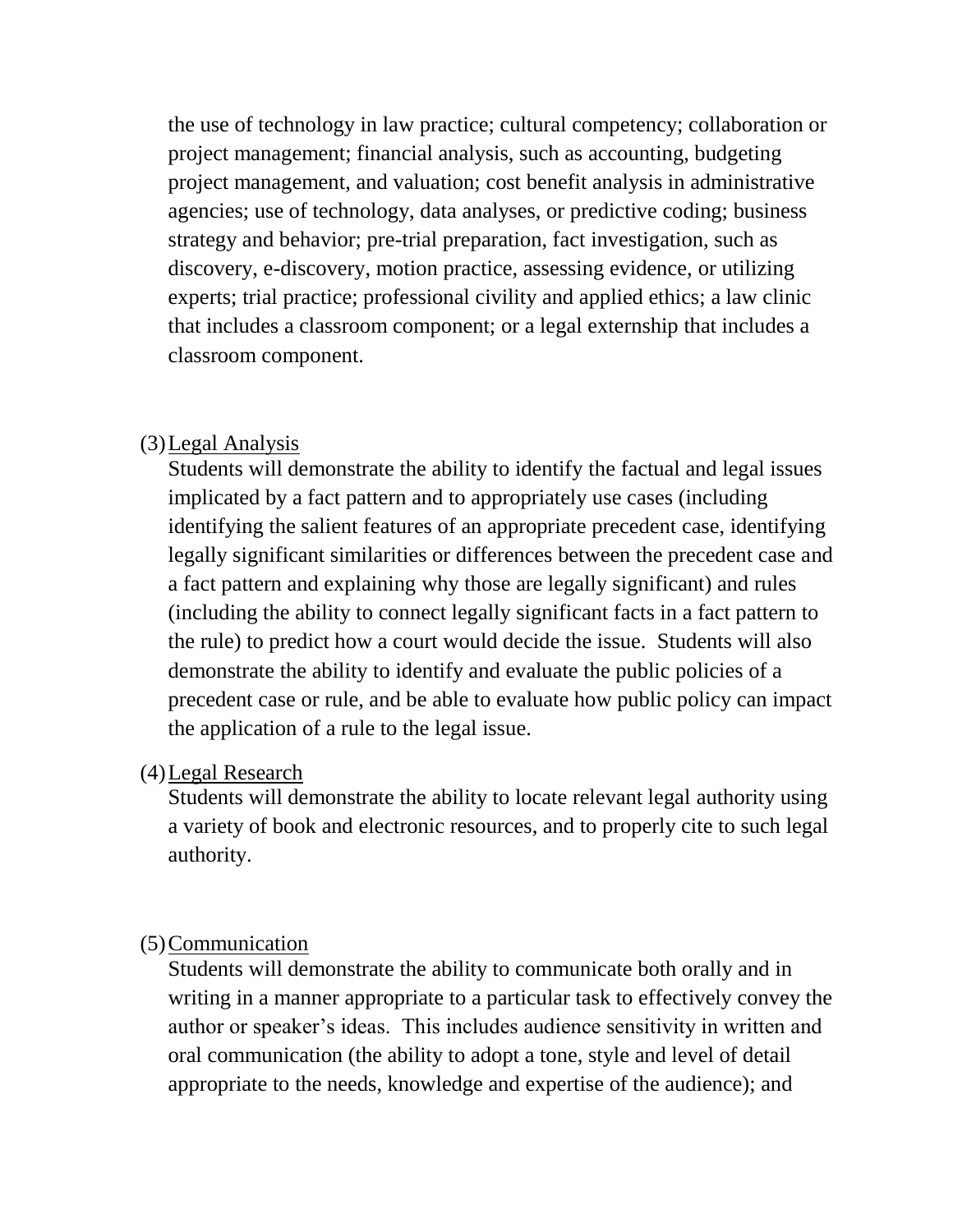the use of technology in law practice; cultural competency; collaboration or project management; financial analysis, such as accounting, budgeting project management, and valuation; cost benefit analysis in administrative agencies; use of technology, data analyses, or predictive coding; business strategy and behavior; pre-trial preparation, fact investigation, such as discovery, e-discovery, motion practice, assessing evidence, or utilizing experts; trial practice; professional civility and applied ethics; a law clinic that includes a classroom component; or a legal externship that includes a classroom component.

### (3)Legal Analysis

Students will demonstrate the ability to identify the factual and legal issues implicated by a fact pattern and to appropriately use cases (including identifying the salient features of an appropriate precedent case, identifying legally significant similarities or differences between the precedent case and a fact pattern and explaining why those are legally significant) and rules (including the ability to connect legally significant facts in a fact pattern to the rule) to predict how a court would decide the issue. Students will also demonstrate the ability to identify and evaluate the public policies of a precedent case or rule, and be able to evaluate how public policy can impact the application of a rule to the legal issue.

#### (4)Legal Research

Students will demonstrate the ability to locate relevant legal authority using a variety of book and electronic resources, and to properly cite to such legal authority.

#### (5)Communication

Students will demonstrate the ability to communicate both orally and in writing in a manner appropriate to a particular task to effectively convey the author or speaker's ideas. This includes audience sensitivity in written and oral communication (the ability to adopt a tone, style and level of detail appropriate to the needs, knowledge and expertise of the audience); and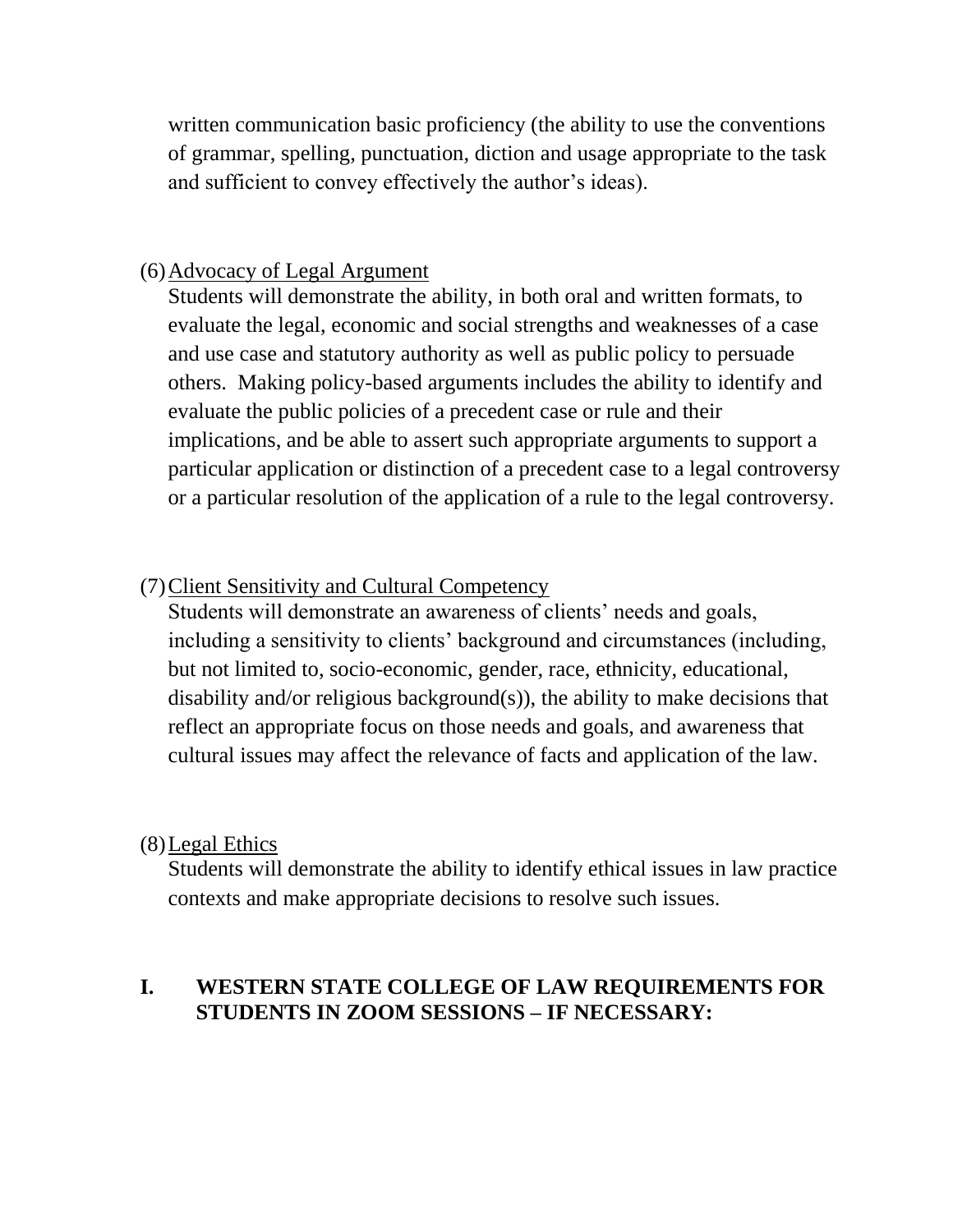written communication basic proficiency (the ability to use the conventions of grammar, spelling, punctuation, diction and usage appropriate to the task and sufficient to convey effectively the author's ideas).

### (6)Advocacy of Legal Argument

Students will demonstrate the ability, in both oral and written formats, to evaluate the legal, economic and social strengths and weaknesses of a case and use case and statutory authority as well as public policy to persuade others. Making policy-based arguments includes the ability to identify and evaluate the public policies of a precedent case or rule and their implications, and be able to assert such appropriate arguments to support a particular application or distinction of a precedent case to a legal controversy or a particular resolution of the application of a rule to the legal controversy.

### (7)Client Sensitivity and Cultural Competency

Students will demonstrate an awareness of clients' needs and goals, including a sensitivity to clients' background and circumstances (including, but not limited to, socio-economic, gender, race, ethnicity, educational, disability and/or religious background(s)), the ability to make decisions that reflect an appropriate focus on those needs and goals, and awareness that cultural issues may affect the relevance of facts and application of the law.

### (8)Legal Ethics

Students will demonstrate the ability to identify ethical issues in law practice contexts and make appropriate decisions to resolve such issues.

### **I. WESTERN STATE COLLEGE OF LAW REQUIREMENTS FOR STUDENTS IN ZOOM SESSIONS – IF NECESSARY:**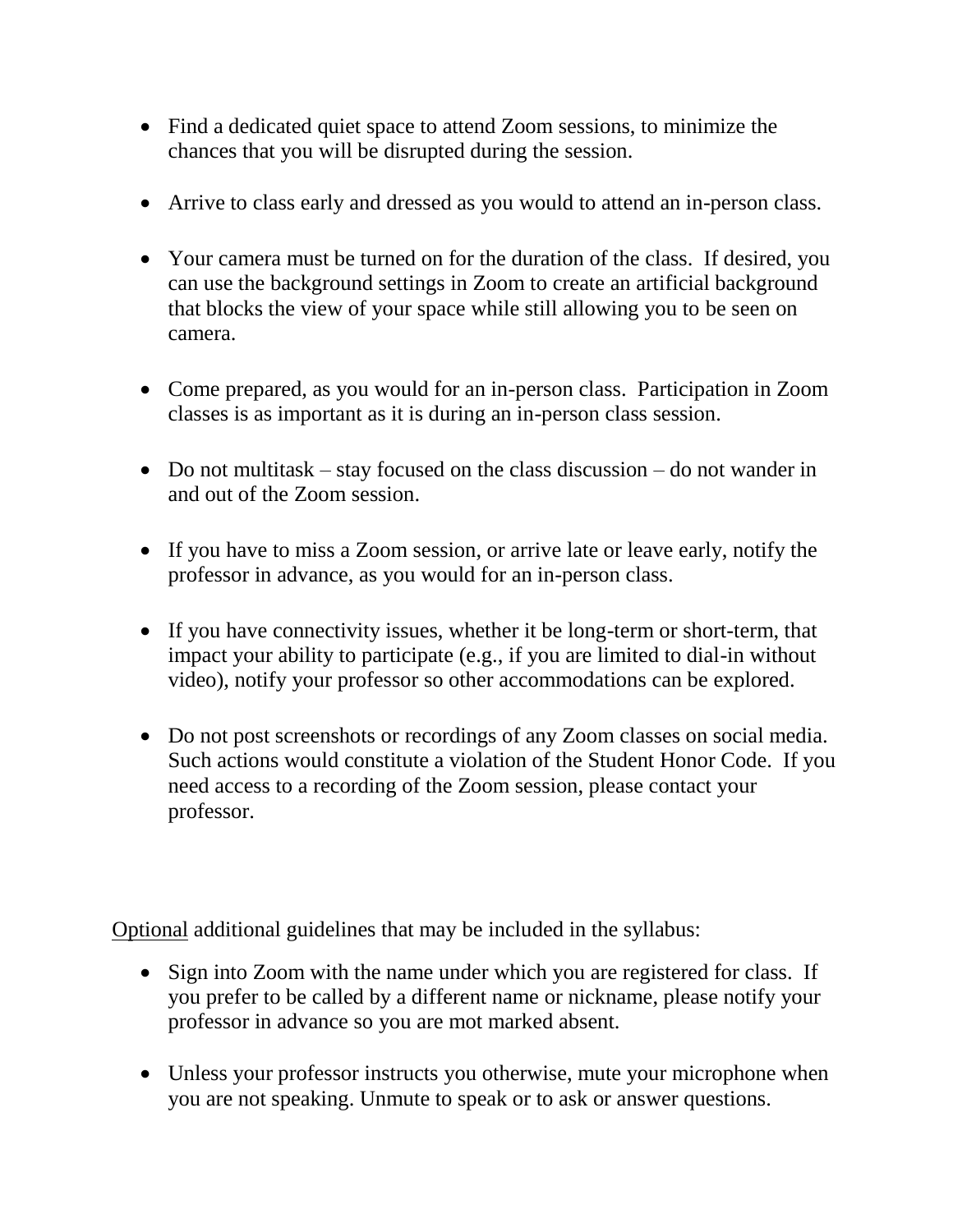- Find a dedicated quiet space to attend Zoom sessions, to minimize the chances that you will be disrupted during the session.
- Arrive to class early and dressed as you would to attend an in-person class.
- Your camera must be turned on for the duration of the class. If desired, you can use the background settings in Zoom to create an artificial background that blocks the view of your space while still allowing you to be seen on camera.
- Come prepared, as you would for an in-person class. Participation in Zoom classes is as important as it is during an in-person class session.
- Do not multitask stay focused on the class discussion do not wander in and out of the Zoom session.
- If you have to miss a Zoom session, or arrive late or leave early, notify the professor in advance, as you would for an in-person class.
- If you have connectivity issues, whether it be long-term or short-term, that impact your ability to participate (e.g., if you are limited to dial-in without video), notify your professor so other accommodations can be explored.
- Do not post screenshots or recordings of any Zoom classes on social media. Such actions would constitute a violation of the Student Honor Code. If you need access to a recording of the Zoom session, please contact your professor.

Optional additional guidelines that may be included in the syllabus:

- Sign into Zoom with the name under which you are registered for class. If you prefer to be called by a different name or nickname, please notify your professor in advance so you are mot marked absent.
- Unless your professor instructs you otherwise, mute your microphone when you are not speaking. Unmute to speak or to ask or answer questions.